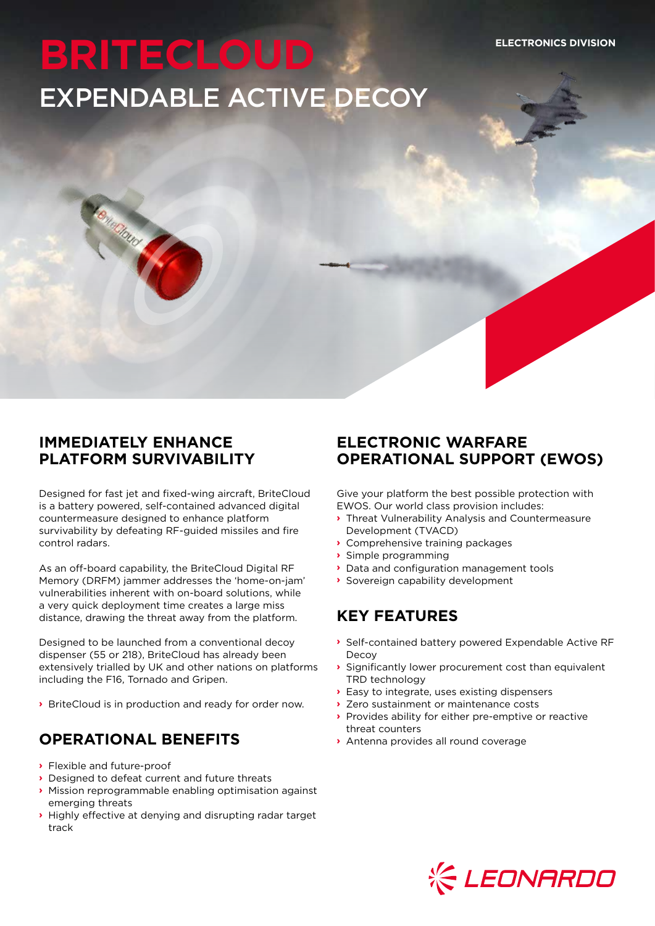# **BRITECLOUD** EXPENDABLE ACTIVE DECOY

### **IMMEDIATELY ENHANCE PLATFORM SURVIVABILITY**

Bringtond

Designed for fast jet and fixed-wing aircraft, BriteCloud is a battery powered, self-contained advanced digital countermeasure designed to enhance platform survivability by defeating RF-guided missiles and fire control radars.

As an off-board capability, the BriteCloud Digital RF Memory (DRFM) jammer addresses the 'home-on-jam' vulnerabilities inherent with on-board solutions, while a very quick deployment time creates a large miss distance, drawing the threat away from the platform.

Designed to be launched from a conventional decoy dispenser (55 or 218), BriteCloud has already been extensively trialled by UK and other nations on platforms including the F16, Tornado and Gripen.

**›** BriteCloud is in production and ready for order now.

# **OPERATIONAL BENEFITS**

- **›** Flexible and future-proof
- **›** Designed to defeat current and future threats
- **›** Mission reprogrammable enabling optimisation against emerging threats
- **›** Highly effective at denying and disrupting radar target track

# **ELECTRONIC WARFARE OPERATIONAL SUPPORT (EWOS)**

Give your platform the best possible protection with EWOS. Our world class provision includes:

- **›** Threat Vulnerability Analysis and Countermeasure Development (TVACD)
- **›** Comprehensive training packages
- **›** Simple programming
- **›** Data and configuration management tools
- **›** Sovereign capability development

# **KEY FEATURES**

- **›** Self-contained battery powered Expendable Active RF Decoy
- **›** Significantly lower procurement cost than equivalent TRD technology
- **›** Easy to integrate, uses existing dispensers
- **›** Zero sustainment or maintenance costs
- **›** Provides ability for either pre-emptive or reactive threat counters
- **›** Antenna provides all round coverage